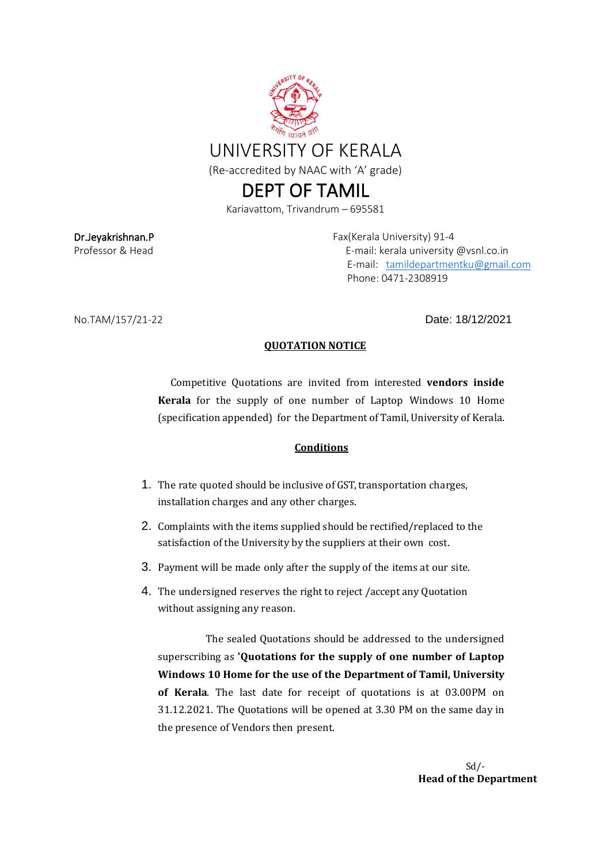

## DEPT OF TAMIL

Kariavattom, Trivandrum – 695581

Dr.Jeyakrishnan.P **Fax(Kerala University)** 91-4 Professor & Head E-mail: kerala university @vsnl.co.in E-mail: [tamildepartmentku@gmail.com](mailto:tamildepartmentku@gmail.com) Phone: 0471-2308919

No.TAM/157/21-22 Date: 18/12/2021

## **QUOTATION NOTICE**

Competitive Quotations are invited from interested **vendors inside Kerala** for the supply of one number of Laptop Windows 10 Home (specification appended) for the Department of Tamil, University of Kerala.

## **Conditions**

- 1. The rate quoted should be inclusive of GST, transportation charges, installation charges and any other charges.
- 2. Complaints with the items supplied should be rectified/replaced to the satisfaction of the University by the suppliers at their own cost.
- 3. Payment will be made only after the supply of the items at our site.
- 4. The undersigned reserves the right to reject /accept any Quotation without assigning any reason.

The sealed Quotations should be addressed to the undersigned superscribing as **'Quotations for the supply of one number of Laptop Windows 10 Home for the use of the Department of Tamil, University of Kerala**. The last date for receipt of quotations is at 03.00PM on 31.12.2021. The Quotations will be opened at 3.30 PM on the same day in the presence of Vendors then present.